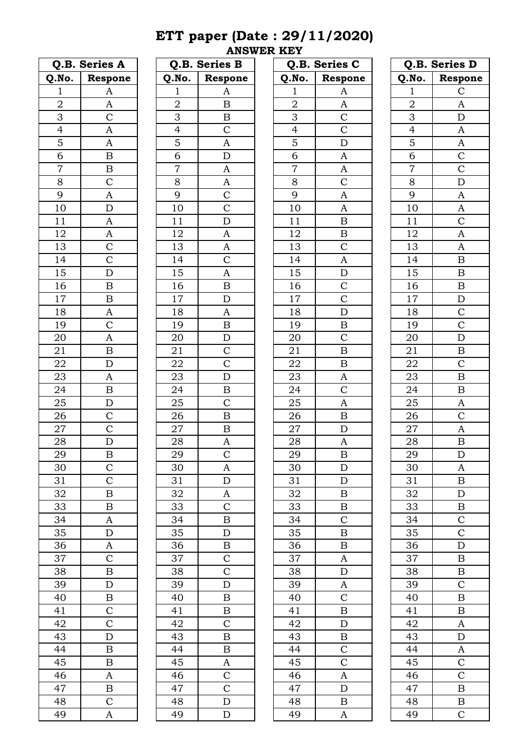## **ETT paper (Date : 29/11/2020) ANSWER KEY**

| Q.B. Series A                                                                                   |                                                                                                                                                                                     |  |
|-------------------------------------------------------------------------------------------------|-------------------------------------------------------------------------------------------------------------------------------------------------------------------------------------|--|
| Q.No.                                                                                           | Respone                                                                                                                                                                             |  |
|                                                                                                 |                                                                                                                                                                                     |  |
| $\frac{1}{2}$ $\frac{2}{3}$ $\frac{4}{5}$ $\frac{6}{6}$ $\frac{7}{8}$ $\frac{8}{9}$             | $\frac{A}{A}$ $\frac{C}{A}$                                                                                                                                                         |  |
|                                                                                                 |                                                                                                                                                                                     |  |
|                                                                                                 |                                                                                                                                                                                     |  |
|                                                                                                 |                                                                                                                                                                                     |  |
|                                                                                                 |                                                                                                                                                                                     |  |
|                                                                                                 | $\frac{\overline{B}}{\overline{B}}$ $\frac{\overline{B}}{\overline{C}}$ $\frac{\overline{A}}{\overline{D}}$ $\frac{\overline{A}}{\overline{A}}$ $\frac{\overline{A}}{\overline{C}}$ |  |
|                                                                                                 |                                                                                                                                                                                     |  |
|                                                                                                 |                                                                                                                                                                                     |  |
| $\overline{10}$                                                                                 |                                                                                                                                                                                     |  |
| $\overline{11}$                                                                                 |                                                                                                                                                                                     |  |
| $\overline{12}$                                                                                 |                                                                                                                                                                                     |  |
| $\overline{13}$                                                                                 |                                                                                                                                                                                     |  |
| $\frac{14}{1}$                                                                                  |                                                                                                                                                                                     |  |
| $\overline{15}$                                                                                 | $\overline{D}$                                                                                                                                                                      |  |
| $\frac{16}{2}$                                                                                  |                                                                                                                                                                                     |  |
| $\overline{17}$                                                                                 | $\frac{\overline{B}}{\overline{A}}$ $\frac{\overline{A}}{\overline{C}}$ $\frac{\overline{A}}{\overline{B}}$                                                                         |  |
| 18                                                                                              |                                                                                                                                                                                     |  |
| $\overline{19}$                                                                                 |                                                                                                                                                                                     |  |
| $\overline{20}$                                                                                 |                                                                                                                                                                                     |  |
| $\overline{21}$                                                                                 |                                                                                                                                                                                     |  |
| 22                                                                                              | $\overline{D}$                                                                                                                                                                      |  |
|                                                                                                 | $\overline{A}$                                                                                                                                                                      |  |
| $\frac{23}{24}$                                                                                 | $\frac{\overline{B}}{D}$                                                                                                                                                            |  |
| $\overline{25}$                                                                                 |                                                                                                                                                                                     |  |
| 26                                                                                              | $\overline{C}$                                                                                                                                                                      |  |
| $\overline{27}$                                                                                 | $\overline{C}$                                                                                                                                                                      |  |
| 28                                                                                              | $\overline{\mathbf{D}}$                                                                                                                                                             |  |
| 29                                                                                              | $\overline{B}$                                                                                                                                                                      |  |
|                                                                                                 | $\overline{C}$                                                                                                                                                                      |  |
| $\frac{30}{31}$                                                                                 |                                                                                                                                                                                     |  |
|                                                                                                 |                                                                                                                                                                                     |  |
|                                                                                                 |                                                                                                                                                                                     |  |
|                                                                                                 |                                                                                                                                                                                     |  |
|                                                                                                 |                                                                                                                                                                                     |  |
|                                                                                                 |                                                                                                                                                                                     |  |
|                                                                                                 |                                                                                                                                                                                     |  |
| $\frac{32}{33}$ $\frac{33}{35}$ $\frac{36}{37}$ $\frac{37}{39}$ $\frac{39}{40}$ $\frac{40}{41}$ |                                                                                                                                                                                     |  |
|                                                                                                 |                                                                                                                                                                                     |  |
|                                                                                                 |                                                                                                                                                                                     |  |
|                                                                                                 |                                                                                                                                                                                     |  |
| $\frac{42}{43}$ $\frac{44}{45}$ $\frac{45}{46}$ $\frac{47}{48}$                                 | $\frac{C}{B}$ $\frac{B}{B}$ $\frac{A}{D}$ $\frac{C}{A}$ $\frac{B}{D}$ $\frac{D}{B}$ $\frac{C}{D}$ $\frac{D}{B}$ $\frac{D}{D}$ $\frac{E}{D}$                                         |  |
|                                                                                                 |                                                                                                                                                                                     |  |
|                                                                                                 |                                                                                                                                                                                     |  |
|                                                                                                 |                                                                                                                                                                                     |  |
|                                                                                                 |                                                                                                                                                                                     |  |
|                                                                                                 |                                                                                                                                                                                     |  |
|                                                                                                 |                                                                                                                                                                                     |  |
| 49                                                                                              |                                                                                                                                                                                     |  |

|       |                  |                 |                  | ANJWER REI      |                  |                |                           |
|-------|------------------|-----------------|------------------|-----------------|------------------|----------------|---------------------------|
|       | Q.B. Series A    |                 | Q.B. Series B    |                 | Q.B. Series C    |                | Q.B. Series D             |
| Q.No. | Respone          | Q.No.           | Respone          | Q.No.           | Respone          | Q.No.          | Respone                   |
|       | $\mathbf{A}$     | 1               | $\mathbf{A}$     | 1               | $\mathbf{A}$     | 1              | $\mathsf{C}$              |
|       | $\boldsymbol{A}$ | $\overline{2}$  | $\boldsymbol{B}$ | $\overline{2}$  | $\boldsymbol{A}$ | $\overline{2}$ | A                         |
|       | $\mathcal{C}$    | 3               | $\, {\bf B}$     | 3               | $\mathcal{C}$    | 3              | $\mathbf D$               |
|       | $\overline{A}$   | $\overline{4}$  | $\overline{C}$   | $\overline{4}$  | $\overline{C}$   | $\overline{4}$ | $\overline{A}$            |
|       | $\mathbf{A}$     | 5               | $\mathbf{A}$     | $\overline{5}$  | $\mathbf D$      | 5              | $\boldsymbol{A}$          |
|       | $\, {\bf B}$     | 6               | $\mathbf D$      | 6               | $\mathbf{A}$     | 6              | $\mathcal{C}$             |
|       | $\, {\bf B}$     | $\overline{7}$  | $\boldsymbol{A}$ | $\overline{7}$  | A                | $\overline{7}$ | $\overline{C}$            |
|       | $\mathbf C$      | 8               | $\boldsymbol{A}$ | 8               | $\mathcal{C}$    | 8              | $\mathbf D$               |
|       | $\overline{A}$   | 9               | $\mathcal{C}$    | 9               | A                | 9              | $\overline{A}$            |
|       | $\overline{D}$   | 10              | $\overline{C}$   | 10              | $\mathbf{A}$     | 10             | $\mathbf A$               |
|       | $\mathbf{A}$     | 11              | $\mathbf D$      | 11              | $\, {\bf B}$     | 11             | $\mathcal{C}$             |
|       | $\boldsymbol{A}$ | 12              | $\boldsymbol{A}$ | 12              | $\boldsymbol{B}$ | 12             | $\boldsymbol{A}$          |
|       | $\mathcal{C}$    | 13              | $\mathbf{A}$     | 13              | $\mathcal{C}$    | 13             | $\mathbf{A}$              |
|       | $\overline{C}$   | 14              | $\overline{C}$   | 14              | $\boldsymbol{A}$ | 14             | $\, {\bf B}$              |
|       | $\mathbf D$      | 15              | $\mathbf{A}$     | 15              | $\mathbf D$      | 15             | $\bf{B}$                  |
|       | $\, {\bf B}$     | 16              | $\boldsymbol{B}$ | 16              | $\mathcal{C}$    | 16             | $\, {\bf B}$              |
|       | $\, {\bf B}$     | 17              | $\mathbf D$      | 17              | $\mathbf C$      | 17             | $\mathbf D$               |
|       | $\mathbf{A}$     | 18              | $\mathbf{A}$     | 18              | $\mathbf D$      | 18             | $\mathcal{C}$             |
|       | $\overline{C}$   | 19              | $\, {\bf B}$     | 19              | $\, {\bf B}$     | 19             | $\overline{C}$            |
|       | $\mathbf{A}$     | 20              | $\mathbf D$      | 20              | $\mathcal{C}$    | 20             | $\mathbf D$               |
|       | $\, {\bf B}$     | 21              | $\mathcal{C}$    | 21              | $\boldsymbol{B}$ | 21             | $\, {\bf B}$              |
|       | $\mathbf D$      | 22              | $\mathcal{C}$    | 22              | $\, {\bf B}$     | 22             | $\mathcal{C}$             |
|       | $\mathbf{A}$     | 23              | $\mathbf D$      | 23              | $\mathbf{A}$     | 23             | $\overline{B}$            |
|       | $\, {\bf B}$     | 24              | $\, {\bf B}$     | 24              | $\mathcal{C}$    | 24             | $\, {\bf B}$              |
|       | $\mathbf D$      | 25              | $\mathcal{C}$    | 25              | $\mathbf{A}$     | 25             | $\mathbf{A}$              |
|       | $\mathcal{C}$    | 26              | $\bf{B}$         | 26              | $\, {\bf B}$     | 26             | $\overline{C}$            |
|       | $\mathcal{C}$    | 27              | $\bf{B}$         | 27              | $\mathbf D$      | 27             | $\boldsymbol{A}$          |
|       | D                | 28              | $\boldsymbol{A}$ | 28              | A                | 28             | $\overline{B}$            |
|       | B                | 29              | C                | 29              | B                | 29             | D                         |
|       | $\overline{C}$   | 30              | $\boldsymbol{A}$ | 30              | $\mathbf D$      | 30             | $\mathbf A$               |
|       | $\overline{C}$   | 31              | ${\rm D}$        | 31              | ${\rm D}$        | 31             | $\, {\bf B}$              |
|       | $\, {\bf B}$     | 32              | A                | 32              | $\, {\bf B}$     | 32             | $\mathbf D$               |
|       | $\, {\bf B}$     | 33              | $\mathcal{C}$    | 33              | $\, {\bf B}$     | 33             | $\, {\bf B}$              |
|       | $\mathbf A$      | 34              | $\, {\bf B}$     | 34              | $\mathbf C$      | 34             | $\mathbf C$               |
|       | $\mathbf D$      | 35              | $\mathbf D$      | 35              | $\, {\bf B}$     | 35             | $\overline{C}$            |
|       | $\boldsymbol{A}$ | 36              | $\, {\bf B}$     | 36              | $\, {\bf B}$     | 36             | ${\rm D}$                 |
|       | $\mathbf C$      | 37              | $\mathbf C$      | 37              | $\boldsymbol{A}$ | 37             | $\, {\bf B}$              |
|       | $\, {\bf B}$     | 38              | $\overline{C}$   | 38              | ${\rm D}$        | 38             | $\, {\bf B}$              |
|       | $\mathbf D$      | 39              | ${\rm D}$        | 39              | $\boldsymbol{A}$ | 39             | $\mathbf C$               |
|       | $\, {\bf B}$     | 40              | $\, {\bf B}$     | 40              | $\mathcal{C}$    | 40             | $\, {\bf B}$              |
|       | $\mathbf C$      | 41              | $\, {\bf B}$     | 41              | $\, {\bf B}$     | 41             | $\boldsymbol{B}$          |
|       | $\mathcal{C}$    | 42              | $\mathcal{C}$    | 42              | ${\bf D}$        | 42             | $\boldsymbol{\mathsf{A}}$ |
|       | ${\rm D}$        | 43              | $\, {\bf B}$     | 43              | $\, {\bf B}$     | 43             | $\mathbf D$               |
|       | $\, {\bf B}$     | 44              | $\, {\bf B}$     | 44              | $\mathcal{C}$    | 44             | $\boldsymbol{A}$          |
|       | $\, {\bf B}$     | 45              | $\boldsymbol{A}$ | 45              | $\overline{C}$   | 45             | $\mathsf{C}$              |
|       | A                | 46              | $\mathcal{C}$    | 46              | A                | 46             | $\mathbf C$               |
|       | $\, {\bf B}$     | 47              | $\overline{C}$   | 47              | $\mathbf D$      | 47             | $\, {\bf B}$              |
|       | $\mathbf C$      | 48              | $\mathbf D$      | 48              | $\boldsymbol{B}$ | 48             | $\boldsymbol{B}$          |
|       |                  | $\overline{10}$ | $\Gamma$         | $\overline{10}$ |                  | $\overline{1}$ |                           |

|                 | Q.B. Series B             |  | Q.B. Series C    |                                                                         |  |
|-----------------|---------------------------|--|------------------|-------------------------------------------------------------------------|--|
| Q.No.           | Respone                   |  | Q.No.            | Respone                                                                 |  |
| $\mathbf{1}$    | A                         |  | $\mathbf{1}$     | $\underline{A}$                                                         |  |
| $\overline{2}$  | $\boldsymbol{\mathrm{B}}$ |  | $\overline{2}$   | $\overline{A}$                                                          |  |
| 3               | $\, {\bf B}$              |  | 3                | $\overline{C}$                                                          |  |
| $\overline{4}$  | $\overline{C}$            |  | $\overline{4}$   | $\overline{C}$                                                          |  |
| $\overline{5}$  | $\boldsymbol{A}$          |  | $\overline{5}$   | $\overline{D}$                                                          |  |
| 6               | D                         |  | $\boldsymbol{6}$ | $\overline{A}$                                                          |  |
| $\overline{7}$  | A                         |  | $\overline{7}$   | $\overline{A}$                                                          |  |
| 8               | $\overline{A}$            |  | 8                | $\overline{C}$                                                          |  |
| 9               | $\mathsf{C}$              |  | 9                | $\boldsymbol{A}$                                                        |  |
| $10\,$          | $\overline{\rm C}$        |  | $10\,$           | $\boldsymbol{A}$                                                        |  |
| 11              | D                         |  | 11               | $\overline{\mathbf{B}}$                                                 |  |
| 12              | A                         |  | 12               | $\, {\bf B}$                                                            |  |
| 13              | $\mathbf A$               |  | 13               | $\overline{C}$                                                          |  |
| 14              | $\mathsf C$               |  | 14               | $\overline{A}$                                                          |  |
| $\overline{15}$ | A                         |  | $\overline{15}$  | $\overline{D}$                                                          |  |
| 16              | $\boldsymbol{B}$          |  | $\overline{16}$  | $\overline{C}$                                                          |  |
| $\overline{17}$ | $\mathbf D$               |  | $17\,$           | $\overline{C}$                                                          |  |
| 18              | A                         |  | $18\,$           | $\overline{D}$                                                          |  |
| 19              | $\, {\bf B}$              |  | 19               | $\, {\bf B}$                                                            |  |
| 20              | $\overline{D}$            |  | $\frac{20}{5}$   | $\overline{C}$                                                          |  |
| 21              | $\mathsf C$               |  | 21               | $\, {\bf B}$                                                            |  |
| 22              | $\overline{C}$            |  | $\bf{22}$        | $\, {\bf B}$                                                            |  |
| 23              | $\overline{D}$            |  | 23               | $\boldsymbol{A}$                                                        |  |
| 24              | $\, {\bf B}$              |  | 24               | $\mathsf{C}$                                                            |  |
| 25              | $\mathsf C$               |  | $25\,$           | A                                                                       |  |
| 26              | $\mathbf B$               |  | 26               | $\, {\bf B}$                                                            |  |
| 27              | $\boldsymbol{B}$          |  | $\overline{27}$  | $\label{eq:1} \mathbf{D}% =\mathbf{D}+\mathbf{D}+\mathbf{D}+\mathbf{D}$ |  |
| 28              | $\boldsymbol{A}$          |  | ${\bf 28}$       | A                                                                       |  |
| 29              | $\mathcal{C}$             |  | 29               | $\boldsymbol{B}$                                                        |  |
| 30              | A                         |  | 30               | $\mathbf D$                                                             |  |
| 31              | D                         |  | 31               | $\mathbf D$                                                             |  |
| 32              | A                         |  | 32               | $\, {\bf B}$                                                            |  |
| 33              | $\mathsf{C}$              |  | 33               | B                                                                       |  |
| 34              | $\boldsymbol{B}$          |  | 34               | $\overline{C}$                                                          |  |
| 35              | $\mathbf D$               |  | 35               | $\overline{B}$                                                          |  |
| 36              | $\boldsymbol{B}$          |  | 36               | $\, {\bf B}$                                                            |  |
| 37              | $\overline{C}$            |  | 37               | A                                                                       |  |
| 38              | $\overline{C}$            |  | 38               | $\mathbf D$                                                             |  |
| 39              | $\overline{D}$            |  | $\frac{39}{5}$   | $\overline{A}$                                                          |  |
| 40              | $\, {\bf B}$              |  | 40               | $\mathsf{C}$                                                            |  |
| 41              | $\overline{B}$            |  | 41               | $\overline{B}$                                                          |  |
| 42              | $\mathsf{C}$              |  | 42               | $\mathbf D$                                                             |  |
| 43              | $\boldsymbol{B}$          |  | 43               | $\, {\bf B}$                                                            |  |
| 44              | B                         |  | 44               | $\overline{C}$                                                          |  |
| 45              | A                         |  | 45               | $\overline{C}$                                                          |  |
| 46              | $\overline{C}$            |  | 46               | $\overline{A}$                                                          |  |
| 47              | $\overline{C}$            |  | 47               | $\mathbf D$                                                             |  |
| 48              | $\overline{D}$            |  | 48               | $\, {\bf B}$                                                            |  |
| 49              | D                         |  | 49               | A                                                                       |  |

|                                                                                                                                                                                                                                                                                                                                                                | Q.B. Series D                                                                                                                                                                                                                                                                                                                                                    |
|----------------------------------------------------------------------------------------------------------------------------------------------------------------------------------------------------------------------------------------------------------------------------------------------------------------------------------------------------------------|------------------------------------------------------------------------------------------------------------------------------------------------------------------------------------------------------------------------------------------------------------------------------------------------------------------------------------------------------------------|
| $\overline{\mathbf{Q}}.\mathbf{No}.$                                                                                                                                                                                                                                                                                                                           | <b>Respone</b>                                                                                                                                                                                                                                                                                                                                                   |
|                                                                                                                                                                                                                                                                                                                                                                |                                                                                                                                                                                                                                                                                                                                                                  |
| $\frac{1}{2}$ $\frac{2}{3}$ $\frac{4}{5}$ $\frac{6}{6}$ $\frac{7}{8}$ $\frac{8}{9}$                                                                                                                                                                                                                                                                            |                                                                                                                                                                                                                                                                                                                                                                  |
|                                                                                                                                                                                                                                                                                                                                                                |                                                                                                                                                                                                                                                                                                                                                                  |
|                                                                                                                                                                                                                                                                                                                                                                |                                                                                                                                                                                                                                                                                                                                                                  |
|                                                                                                                                                                                                                                                                                                                                                                |                                                                                                                                                                                                                                                                                                                                                                  |
|                                                                                                                                                                                                                                                                                                                                                                |                                                                                                                                                                                                                                                                                                                                                                  |
|                                                                                                                                                                                                                                                                                                                                                                |                                                                                                                                                                                                                                                                                                                                                                  |
|                                                                                                                                                                                                                                                                                                                                                                |                                                                                                                                                                                                                                                                                                                                                                  |
|                                                                                                                                                                                                                                                                                                                                                                |                                                                                                                                                                                                                                                                                                                                                                  |
| $\overline{10}$                                                                                                                                                                                                                                                                                                                                                |                                                                                                                                                                                                                                                                                                                                                                  |
|                                                                                                                                                                                                                                                                                                                                                                |                                                                                                                                                                                                                                                                                                                                                                  |
| $\frac{11}{12}$                                                                                                                                                                                                                                                                                                                                                |                                                                                                                                                                                                                                                                                                                                                                  |
|                                                                                                                                                                                                                                                                                                                                                                |                                                                                                                                                                                                                                                                                                                                                                  |
| $\frac{13}{14}$                                                                                                                                                                                                                                                                                                                                                |                                                                                                                                                                                                                                                                                                                                                                  |
|                                                                                                                                                                                                                                                                                                                                                                | $\frac{C}{A} \frac{A}{D} \frac{A}{A} \frac{C}{C} \frac{C}{D} \frac{D}{A} \frac{A}{A} \frac{C}{C} \frac{A}{A} \frac{B}{B} \frac{B}{B} \frac{D}{D} \frac{C}{C} \frac{D}{D} \frac{B}{B} \frac{C}{B} \frac{A}{A} \frac{C}{C} \frac{A}{A} \frac{B}{B}$                                                                                                                |
| $\frac{15}{16}$<br>$\frac{1}{17}$                                                                                                                                                                                                                                                                                                                              |                                                                                                                                                                                                                                                                                                                                                                  |
|                                                                                                                                                                                                                                                                                                                                                                |                                                                                                                                                                                                                                                                                                                                                                  |
| 18                                                                                                                                                                                                                                                                                                                                                             |                                                                                                                                                                                                                                                                                                                                                                  |
| $\overline{19}$                                                                                                                                                                                                                                                                                                                                                |                                                                                                                                                                                                                                                                                                                                                                  |
|                                                                                                                                                                                                                                                                                                                                                                |                                                                                                                                                                                                                                                                                                                                                                  |
| $\frac{20}{21}$<br>$\frac{22}{23}$                                                                                                                                                                                                                                                                                                                             |                                                                                                                                                                                                                                                                                                                                                                  |
|                                                                                                                                                                                                                                                                                                                                                                |                                                                                                                                                                                                                                                                                                                                                                  |
|                                                                                                                                                                                                                                                                                                                                                                |                                                                                                                                                                                                                                                                                                                                                                  |
| $\overline{24}$                                                                                                                                                                                                                                                                                                                                                |                                                                                                                                                                                                                                                                                                                                                                  |
|                                                                                                                                                                                                                                                                                                                                                                |                                                                                                                                                                                                                                                                                                                                                                  |
| $\frac{25}{26}$                                                                                                                                                                                                                                                                                                                                                |                                                                                                                                                                                                                                                                                                                                                                  |
| $\overline{27}$                                                                                                                                                                                                                                                                                                                                                |                                                                                                                                                                                                                                                                                                                                                                  |
| $\overline{28}$                                                                                                                                                                                                                                                                                                                                                |                                                                                                                                                                                                                                                                                                                                                                  |
| 29                                                                                                                                                                                                                                                                                                                                                             | $\overline{D}$                                                                                                                                                                                                                                                                                                                                                   |
|                                                                                                                                                                                                                                                                                                                                                                | A                                                                                                                                                                                                                                                                                                                                                                |
|                                                                                                                                                                                                                                                                                                                                                                |                                                                                                                                                                                                                                                                                                                                                                  |
|                                                                                                                                                                                                                                                                                                                                                                |                                                                                                                                                                                                                                                                                                                                                                  |
|                                                                                                                                                                                                                                                                                                                                                                |                                                                                                                                                                                                                                                                                                                                                                  |
|                                                                                                                                                                                                                                                                                                                                                                |                                                                                                                                                                                                                                                                                                                                                                  |
| $\frac{30}{31} \frac{31}{32} \frac{31}{31} \frac{4}{31} \frac{5}{31} \frac{6}{31} \frac{7}{31} \frac{8}{31} \frac{9}{31} \frac{9}{31} \frac{10}{41} \frac{11}{41} \frac{41}{41} \frac{41}{41} \frac{41}{41} \frac{41}{41} \frac{41}{41} \frac{41}{41} \frac{41}{41} \frac{41}{41} \frac{41}{41} \frac{41}{41} \frac{41}{41} \frac{41}{41} \frac{41}{41} \frac$ | $\frac{\text{B}}{\text{D}}\frac{\text{D}}{\text{B}}\frac{\text{C}}{\text{C}}\frac{\text{C}}{\text{D}}\frac{\text{D}}{\text{B}}\frac{\text{B}}{\text{B}}\frac{\text{C}}{\text{C}}\frac{\text{B}}{\text{B}}\frac{\text{A}}{\text{D}}\frac{\text{A}}{\text{C}}\frac{\text{C}}{\text{C}}\frac{\text{C}}{\text{B}}\frac{\text{B}}{\text{B}}\frac{\text{C}}{\text{C}}$ |
|                                                                                                                                                                                                                                                                                                                                                                |                                                                                                                                                                                                                                                                                                                                                                  |
|                                                                                                                                                                                                                                                                                                                                                                |                                                                                                                                                                                                                                                                                                                                                                  |
|                                                                                                                                                                                                                                                                                                                                                                |                                                                                                                                                                                                                                                                                                                                                                  |
|                                                                                                                                                                                                                                                                                                                                                                |                                                                                                                                                                                                                                                                                                                                                                  |
|                                                                                                                                                                                                                                                                                                                                                                |                                                                                                                                                                                                                                                                                                                                                                  |
|                                                                                                                                                                                                                                                                                                                                                                |                                                                                                                                                                                                                                                                                                                                                                  |
|                                                                                                                                                                                                                                                                                                                                                                |                                                                                                                                                                                                                                                                                                                                                                  |
|                                                                                                                                                                                                                                                                                                                                                                |                                                                                                                                                                                                                                                                                                                                                                  |
|                                                                                                                                                                                                                                                                                                                                                                |                                                                                                                                                                                                                                                                                                                                                                  |
|                                                                                                                                                                                                                                                                                                                                                                |                                                                                                                                                                                                                                                                                                                                                                  |
|                                                                                                                                                                                                                                                                                                                                                                |                                                                                                                                                                                                                                                                                                                                                                  |
|                                                                                                                                                                                                                                                                                                                                                                |                                                                                                                                                                                                                                                                                                                                                                  |
|                                                                                                                                                                                                                                                                                                                                                                |                                                                                                                                                                                                                                                                                                                                                                  |
|                                                                                                                                                                                                                                                                                                                                                                |                                                                                                                                                                                                                                                                                                                                                                  |
| 49                                                                                                                                                                                                                                                                                                                                                             |                                                                                                                                                                                                                                                                                                                                                                  |